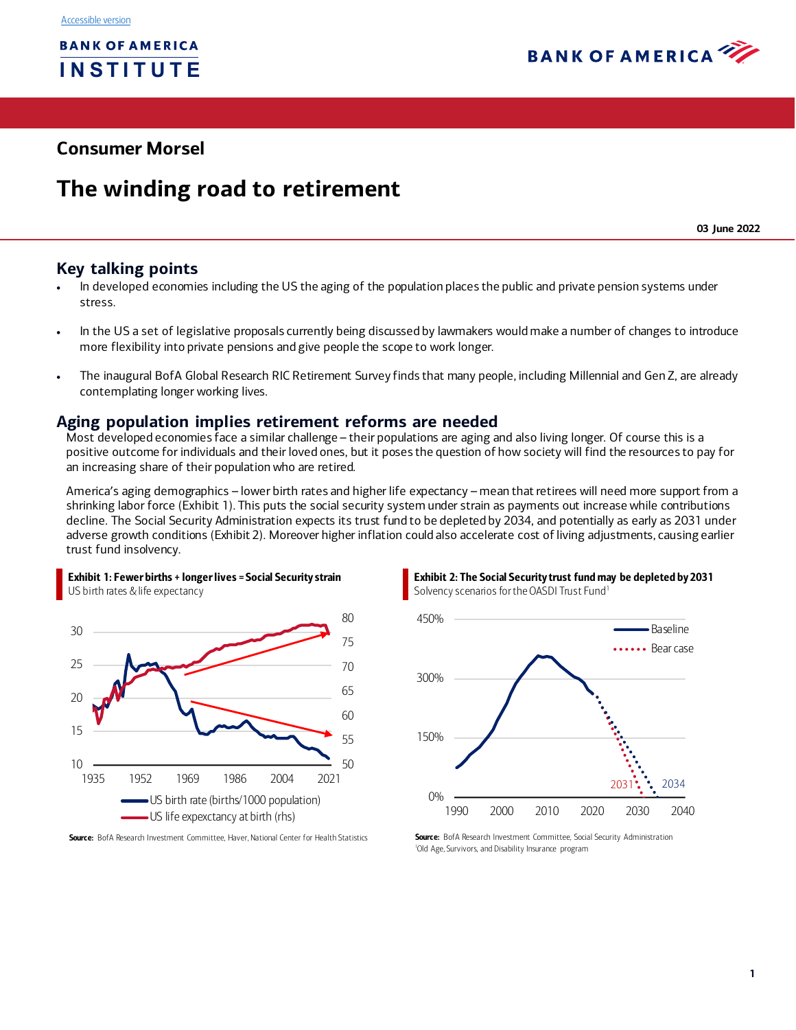

## **Consumer Morsel**

# **The winding road to retirement**

**03 June 2022**

#### **Key talking points**

- In developed economies including the US the aging of the population places the public and private pension systems under stress.
- In the US a set of legislative proposals currently being discussed by lawmakers would make a number of changes to introduce more flexibility into private pensions and give people the scope to work longer.
- The inaugural BofA Global Research RIC Retirement Survey finds that many people, including Millennial and Gen Z, are already contemplating longer working lives.

#### **Aging population implies retirement reforms are needed**

Most developed economies face a similar challenge – their populations are aging and also living longer. Of course this is a positive outcome for individuals and their loved ones, but it poses the question of how society will find the resources to pay for an increasing share of their population who are retired.

America's aging demographics – lower birth rates and higher life expectancy – mean that retirees will need more support from a shrinking labor force [\(Exhibit 1](#page-0-0)). This puts the social security system under strain as payments out increase while contributions decline. The Social Security Administration expects its trust fund to be depleted by 2034, and potentially as early as 2031 under adverse growth conditions [\(Exhibit 2\)](#page-0-1). Moreover higher inflation could also accelerate cost of living adjustments, causing earlier trust fund insolvency.



<span id="page-0-0"></span>Exhibit 1: Fewer births + longer lives = Social Security strain

Source: BofA Research Investment Committee, Haver, National Center for Health Statistics

<span id="page-0-1"></span>Exhibit 2: The Social Security trust fund may be depleted by 2031 Solvency scenarios for the OASDI Trust Fund<sup>1</sup>



Source: BofA Research Investment Committee, Social Security Administration 1 Old Age, Survivors, and Disability Insurance program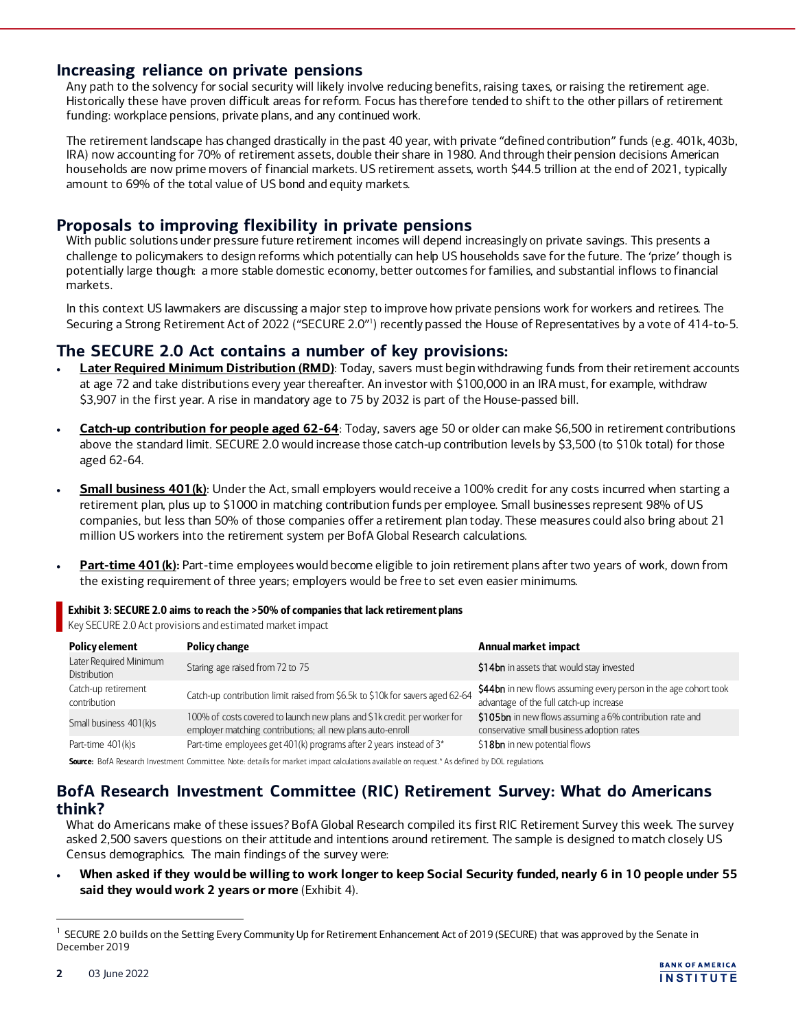#### **Increasing reliance on private pensions**

Any path to the solvency for social security will likely involve reducing benefits, raising taxes, or raising the retirement age. Historically these have proven difficult areas for reform. Focus has therefore tended to shift to the other pillars of retirement funding: workplace pensions, private plans, and any continued work.

The retirement landscape has changed drastically in the past 40 year, with private "defined contribution" funds (e.g. 401k, 403b, IRA) now accounting for 70% of retirement assets, double their share in 1980. And through their pension decisions American households are now prime movers of financial markets. US retirement assets, worth \$44.5 trillion at the end of 2021, typically amount to 69% of the total value of US bond and equity markets.

## **Proposals to improving flexibility in private pensions**

With public solutions under pressure future retirement incomes will depend increasingly on private savings. This presents a challenge to policymakers to design reforms which potentially can help US households save for the future. The 'prize' though is potentially large though: a more stable domestic economy, better outcomes for families, and substantial inflows to financial markets.

In this context US lawmakers are discussing a major step to improve how private pensions work for workers and retirees. The Securing a Strong Retirement Act of 2022 ("SECURE 2.0"<sup>)</sup> recently passed the House of Representatives by a vote of 414-to-5.

#### **The SECURE 2.0 Act contains a number of key provisions:**

- **Later Required Minimum Distribution (RMD)**: Today, savers must begin withdrawing funds from their retirement accounts at age 72 and take distributions every year thereafter. An investor with \$100,000 in an IRA must, for example, withdraw \$3,907 in the first year. A rise in mandatory age to 75 by 2032 is part of the House-passed bill.
- **Catch-up contribution for people aged 62-64**: Today, savers age 50 or older can make \$6,500 in retirement contributions above the standard limit. SECURE 2.0 would increase those catch-up contribution levels by \$3,500 (to \$10k total) for those aged 62-64.
- **Small business 401(k)**: Under the Act, small employers would receive a 100% credit for any costs incurred when starting a retirement plan, plus up to \$1000 in matching contribution funds per employee. Small businesses represent 98% of US companies, but less than 50% of those companies offer a retirement plan today. These measures could also bring about 21 million US workers into the retirement system per BofA Global Research calculations.
- Part-time 401(k): Part-time employees would become eligible to join retirement plans after two years of work, down from the existing requirement of three years; employers would be free to set even easier minimums.

#### Exhibit 3: SECURE 2.0 aims to reach the >50% of companies that lack retirement plans

Key SECURE 2.0 Act provisions and estimated market impact

| <b>Policy element</b>                  | <b>Policy change</b>                                                                                                                   | Annual market impact                                                                                        |
|----------------------------------------|----------------------------------------------------------------------------------------------------------------------------------------|-------------------------------------------------------------------------------------------------------------|
| Later Required Minimum<br>Distribution | Staring age raised from 72 to 75                                                                                                       | \$14bn in assets that would stay invested                                                                   |
| Catch-up retirement<br>contribution    | Catch-up contribution limit raised from \$6.5k to \$10k for savers aged 62-64                                                          | \$44bn in new flows assuming every person in the age cohort took<br>advantage of the full catch-up increase |
| Small business 401(k)s                 | 100% of costs covered to launch new plans and \$1k credit per worker for<br>employer matching contributions; all new plans auto-enroll | \$105bn in new flows assuming a 6% contribution rate and<br>conservative small business adoption rates      |
| Part-time 401(k)s                      | Part-time employees get 401(k) programs after 2 years instead of 3*                                                                    | \$18bn in new potential flows                                                                               |

Source: BofA Research Investment Committee. Note: details for market impact calculations available on request.\* As defined by DOL regulations.

## **BofA Research Investment Committee (RIC) Retirement Survey: What do Americans think?**

What do Americans make of these issues? BofA Global Research compiled its first RIC Retirement Survey this week. The survey asked 2,500 savers questions on their attitude and intentions around retirement. The sample is designed to match closely US Census demographics. The main findings of the survey were:

• **When asked if they would be willing to work longer to keep Social Security funded, nearly 6 in 10 people under 55 said they would work 2 years or more** [\(Exhibit 4\)](#page-2-0).



<sup>&</sup>lt;sup>1</sup> SECURE 2.0 builds on the Setting Every Community Up for Retirement Enhancement Act of 2019 (SECURE) that was approved by the Senate in December 2019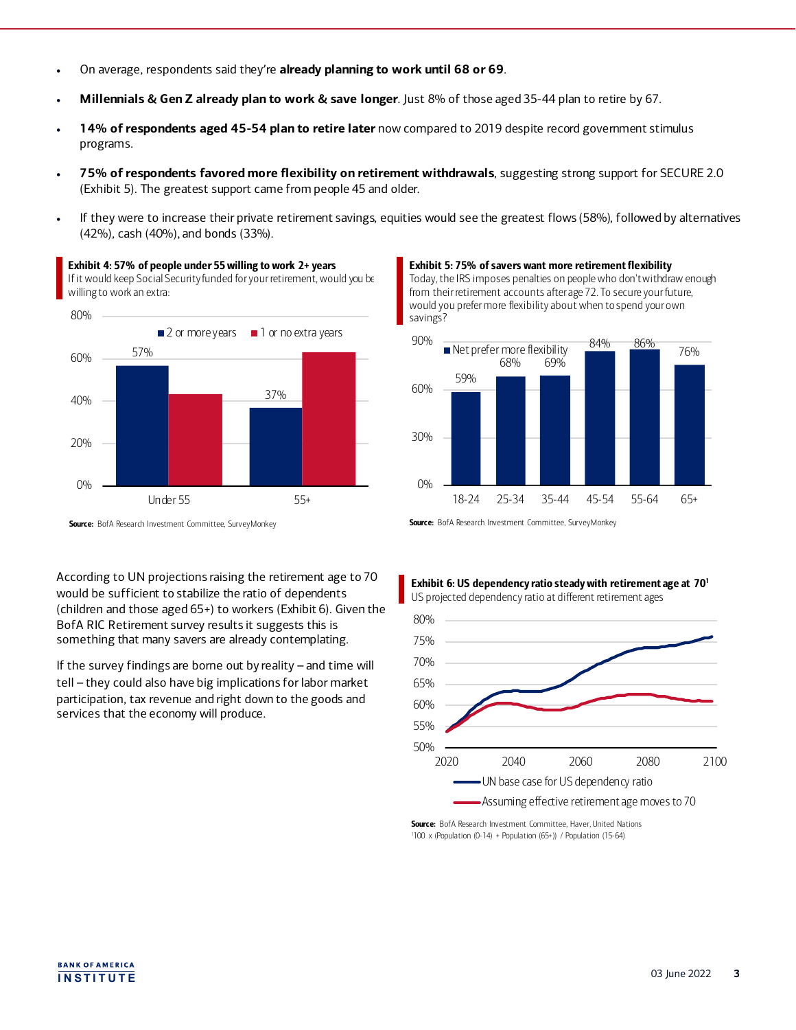- On average, respondents said they're **already planning to work until 68 or 69**.
- **Millennials & Gen Z already plan to work & save longer**. Just 8% of those aged 35-44 plan to retire by 67.
- **14% of respondents aged 45-54 plan to retire later** now compared to 2019 despite record government stimulus programs.
- **75% of respondents favored more flexibility on retirement withdrawals**, suggesting strong support for SECURE 2.0 (Exhibit 5). The greatest support came from people 45 and older.
- If they were to increase their private retirement savings, equities would see the greatest flows (58%), followed by alternatives (42%), cash (40%), and bonds (33%).

If it would keep Social Security funded for your retirement, would you be willing to work an extra: 80%  $\blacksquare$  2 or more years  $\blacksquare$  1 or no extra years

<span id="page-2-0"></span>Exhibit 4: 57% of people under 55 willing to work 2+ years



Exhibit 5: 75% of savers want more retirement flexibility Today, the IRS imposes penalties on people who don't withdraw enough from their retirement accounts after age 72. To secure your future, would you prefer more flexibility about when to spend your own savings?



Source: BofA Research Investment Committee, SurveyMonkey

According to UN projections raising the retirement age to 70 would be sufficient to stabilize the ratio of dependents (children and those aged 65+) to workers (Exhibit 6). Given the BofA RIC Retirement survey results it suggests this is something that many savers are already contemplating.

If the survey findings are borne out by reality – and time will tell – they could also have big implications for labor market participation, tax revenue and right down to the goods and services that the economy will produce.

Source: BofA Research Investment Committee, SurveyMonkey

# Exhibit 6: US dependency ratio steady with retirement age at 701





Source: BofA Research Investment Committee, Haver, United Nations 1 100 x (Population (0-14) + Population (65+)) / Population (15-64)

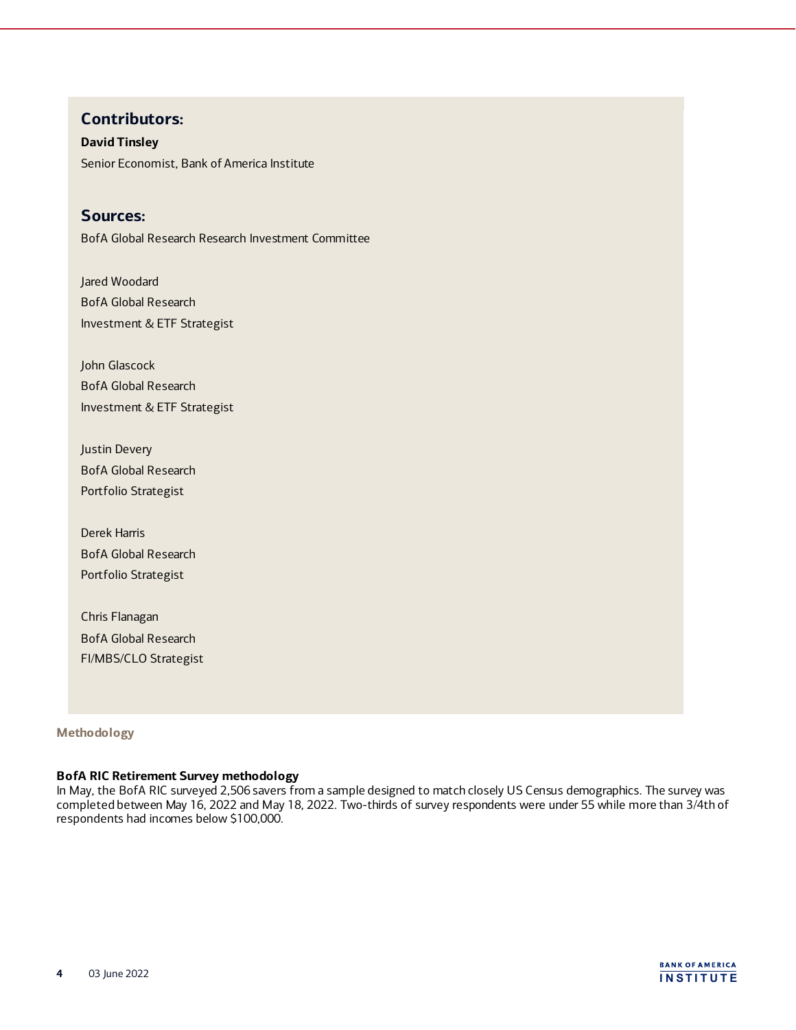## **Contributors:**

**David Tinsley** Senior Economist, Bank of America Institute

## **Sources:**

BofA Global Research Research Investment Committee

Jared Woodard BofA Global Research Investment & ETF Strategist

John Glascock BofA Global Research Investment & ETF Strategist

Justin Devery BofA Global Research Portfolio Strategist

Derek Harris BofA Global Research Portfolio Strategist

Chris Flanagan BofA Global Research FI/MBS/CLO Strategist

#### **Methodology**

#### **BofA RIC Retirement Survey methodology**

In May, the BofA RIC surveyed 2,506 savers from a sample designed to match closely US Census demographics. The survey was completed between May 16, 2022 and May 18, 2022. Two-thirds of survey respondents were under 55 while more than 3/4th of respondents had incomes below \$100,000.